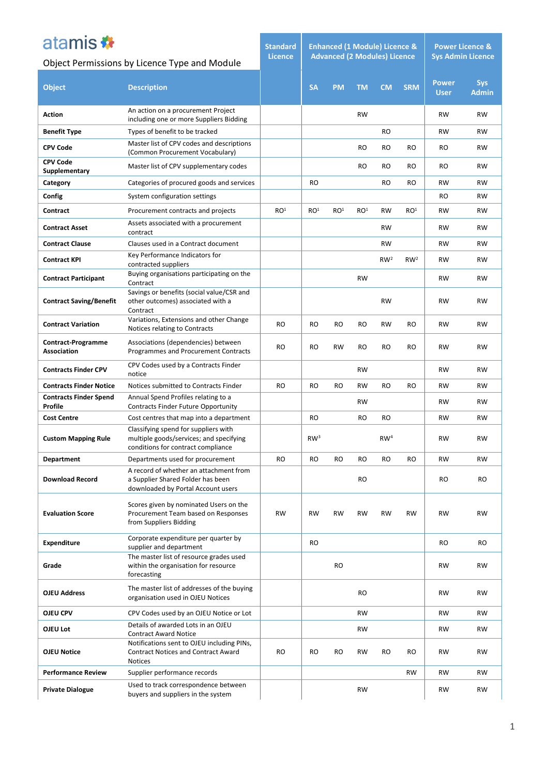| atamis *                                        |                                                                                                                       | <b>Standard</b><br><b>Licence</b> |                 | <b>Enhanced (1 Module) Licence &amp;</b> |                 | <b>Power Licence &amp;</b><br><b>Sys Admin Licence</b> |                 |                             |                            |  |
|-------------------------------------------------|-----------------------------------------------------------------------------------------------------------------------|-----------------------------------|-----------------|------------------------------------------|-----------------|--------------------------------------------------------|-----------------|-----------------------------|----------------------------|--|
| Object Permissions by Licence Type and Module   |                                                                                                                       |                                   |                 | <b>Advanced (2 Modules) Licence</b>      |                 |                                                        |                 |                             |                            |  |
| <b>Object</b>                                   | <b>Description</b>                                                                                                    |                                   | <b>SA</b>       | <b>PM</b>                                | <b>TM</b>       | <b>CM</b>                                              | <b>SRM</b>      | <b>Power</b><br><b>User</b> | <b>Sys</b><br><b>Admin</b> |  |
| Action                                          | An action on a procurement Project<br>including one or more Suppliers Bidding                                         |                                   |                 |                                          | <b>RW</b>       |                                                        |                 | <b>RW</b>                   | RW                         |  |
| <b>Benefit Type</b>                             | Types of benefit to be tracked                                                                                        |                                   |                 |                                          |                 | RO                                                     |                 | <b>RW</b>                   | <b>RW</b>                  |  |
| <b>CPV Code</b>                                 | Master list of CPV codes and descriptions<br>(Common Procurement Vocabulary)                                          |                                   |                 |                                          | <b>RO</b>       | RO                                                     | RO              | RO                          | RW                         |  |
| <b>CPV Code</b><br>Supplementary                | Master list of CPV supplementary codes                                                                                |                                   |                 |                                          | <b>RO</b>       | RO                                                     | <b>RO</b>       | RO                          | <b>RW</b>                  |  |
| Category                                        | Categories of procured goods and services                                                                             |                                   | <b>RO</b>       |                                          |                 | RO                                                     | RO              | <b>RW</b>                   | <b>RW</b>                  |  |
| Config                                          | System configuration settings                                                                                         |                                   |                 |                                          |                 |                                                        |                 | RO                          | RW                         |  |
| Contract                                        | Procurement contracts and projects                                                                                    | RO <sup>1</sup>                   | RO <sup>1</sup> | RO <sup>1</sup>                          | RO <sup>1</sup> | <b>RW</b>                                              | RO <sup>1</sup> | <b>RW</b>                   | <b>RW</b>                  |  |
| <b>Contract Asset</b>                           | Assets associated with a procurement<br>contract                                                                      |                                   |                 |                                          |                 | <b>RW</b>                                              |                 | <b>RW</b>                   | <b>RW</b>                  |  |
| <b>Contract Clause</b>                          | Clauses used in a Contract document                                                                                   |                                   |                 |                                          |                 | <b>RW</b>                                              |                 | <b>RW</b>                   | <b>RW</b>                  |  |
| <b>Contract KPI</b>                             | Key Performance Indicators for<br>contracted suppliers                                                                |                                   |                 |                                          |                 | RW <sup>2</sup>                                        | RW <sup>2</sup> | <b>RW</b>                   | <b>RW</b>                  |  |
| <b>Contract Participant</b>                     | Buying organisations participating on the<br>Contract                                                                 |                                   |                 |                                          | <b>RW</b>       |                                                        |                 | <b>RW</b>                   | <b>RW</b>                  |  |
| <b>Contract Saving/Benefit</b>                  | Savings or benefits (social value/CSR and<br>other outcomes) associated with a<br>Contract                            |                                   |                 |                                          |                 | <b>RW</b>                                              |                 | <b>RW</b>                   | <b>RW</b>                  |  |
| <b>Contract Variation</b>                       | Variations, Extensions and other Change<br>Notices relating to Contracts                                              | <b>RO</b>                         | <b>RO</b>       | <b>RO</b>                                | <b>RO</b>       | <b>RW</b>                                              | <b>RO</b>       | <b>RW</b>                   | <b>RW</b>                  |  |
| <b>Contract-Programme</b><br><b>Association</b> | Associations (dependencies) between<br>Programmes and Procurement Contracts                                           | RO                                | <b>RO</b>       | <b>RW</b>                                | <b>RO</b>       | RO                                                     | RO              | <b>RW</b>                   | <b>RW</b>                  |  |
| <b>Contracts Finder CPV</b>                     | CPV Codes used by a Contracts Finder<br>notice                                                                        |                                   |                 |                                          | RW              |                                                        |                 | <b>RW</b>                   | <b>RW</b>                  |  |
| <b>Contracts Finder Notice</b>                  | Notices submitted to Contracts Finder                                                                                 | RO                                | <b>RO</b>       | <b>RO</b>                                | <b>RW</b>       | RO                                                     | RO              | <b>RW</b>                   | <b>RW</b>                  |  |
| <b>Contracts Finder Spend</b><br>Profile        | Annual Spend Profiles relating to a<br>Contracts Finder Future Opportunity                                            |                                   |                 |                                          | RW              |                                                        |                 | RW                          | <b>RW</b>                  |  |
| <b>Cost Centre</b>                              | Cost centres that map into a department                                                                               |                                   | <b>RO</b>       |                                          | <b>RO</b>       | RO                                                     |                 | <b>RW</b>                   | <b>RW</b>                  |  |
| <b>Custom Mapping Rule</b>                      | Classifying spend for suppliers with<br>multiple goods/services; and specifying<br>conditions for contract compliance |                                   | RW <sup>3</sup> |                                          |                 | RW <sup>4</sup>                                        |                 | <b>RW</b>                   | RW                         |  |
| <b>Department</b>                               | Departments used for procurement                                                                                      | <b>RO</b>                         | <b>RO</b>       | <b>RO</b>                                | <b>RO</b>       | RO                                                     | <b>RO</b>       | <b>RW</b>                   | RW                         |  |
| <b>Download Record</b>                          | A record of whether an attachment from<br>a Supplier Shared Folder has been<br>downloaded by Portal Account users     |                                   |                 |                                          | <b>RO</b>       |                                                        |                 | <b>RO</b>                   | <b>RO</b>                  |  |
| <b>Evaluation Score</b>                         | Scores given by nominated Users on the<br>Procurement Team based on Responses<br>from Suppliers Bidding               | <b>RW</b>                         | <b>RW</b>       | <b>RW</b>                                | <b>RW</b>       | <b>RW</b>                                              | <b>RW</b>       | <b>RW</b>                   | RW                         |  |
| <b>Expenditure</b>                              | Corporate expenditure per quarter by<br>supplier and department                                                       |                                   | <b>RO</b>       |                                          |                 |                                                        |                 | <b>RO</b>                   | RO                         |  |
| Grade                                           | The master list of resource grades used<br>within the organisation for resource<br>forecasting                        |                                   |                 | <b>RO</b>                                |                 |                                                        |                 | <b>RW</b>                   | <b>RW</b>                  |  |
| <b>OJEU Address</b>                             | The master list of addresses of the buying<br>organisation used in OJEU Notices                                       |                                   |                 |                                          | <b>RO</b>       |                                                        |                 | <b>RW</b>                   | RW                         |  |
| OJEU CPV                                        | CPV Codes used by an OJEU Notice or Lot                                                                               |                                   |                 |                                          | <b>RW</b>       |                                                        |                 | <b>RW</b>                   | <b>RW</b>                  |  |
| OJEU Lot                                        | Details of awarded Lots in an OJEU<br><b>Contract Award Notice</b>                                                    |                                   |                 |                                          | <b>RW</b>       |                                                        |                 | <b>RW</b>                   | <b>RW</b>                  |  |
| <b>OJEU Notice</b>                              | Notifications sent to OJEU including PINs,<br><b>Contract Notices and Contract Award</b><br><b>Notices</b>            | <b>RO</b>                         | RO              | RO                                       | RW              | RO                                                     | RO.             | <b>RW</b>                   | RW                         |  |
| <b>Performance Review</b>                       | Supplier performance records                                                                                          |                                   |                 |                                          |                 |                                                        | <b>RW</b>       | <b>RW</b>                   | <b>RW</b>                  |  |
| <b>Private Dialogue</b>                         | Used to track correspondence between<br>buyers and suppliers in the system                                            |                                   |                 |                                          | <b>RW</b>       |                                                        |                 | <b>RW</b>                   | RW                         |  |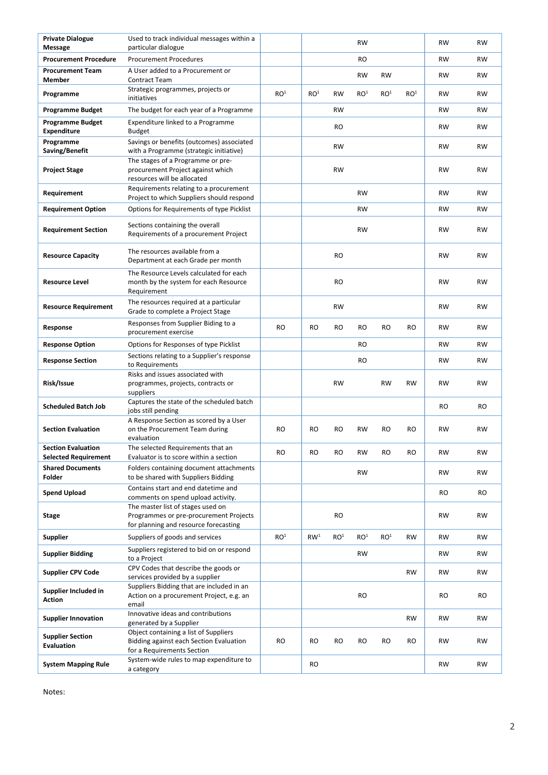| <b>Private Dialogue</b><br>Message                       | Used to track individual messages within a<br>particular dialogue                                                    |                 |                 |                 | <b>RW</b>       |                 |                 | RW        | <b>RW</b> |
|----------------------------------------------------------|----------------------------------------------------------------------------------------------------------------------|-----------------|-----------------|-----------------|-----------------|-----------------|-----------------|-----------|-----------|
| <b>Procurement Procedure</b>                             | <b>Procurement Procedures</b>                                                                                        |                 |                 |                 | RO.             |                 |                 | <b>RW</b> | <b>RW</b> |
| <b>Procurement Team</b><br><b>Member</b>                 | A User added to a Procurement or<br><b>Contract Team</b>                                                             |                 |                 |                 | <b>RW</b>       | <b>RW</b>       |                 | RW        | RW        |
| Programme                                                | Strategic programmes, projects or<br>initiatives                                                                     | RO <sup>1</sup> | RO <sup>1</sup> | <b>RW</b>       | RO <sup>1</sup> | RO <sup>1</sup> | RO <sup>1</sup> | RW        | RW        |
| <b>Programme Budget</b>                                  | The budget for each year of a Programme                                                                              |                 |                 | RW              |                 |                 |                 | RW        | <b>RW</b> |
| <b>Programme Budget</b><br><b>Expenditure</b>            | Expenditure linked to a Programme<br>Budget                                                                          |                 |                 | <b>RO</b>       |                 |                 |                 | RW        | <b>RW</b> |
| Programme<br>Saving/Benefit                              | Savings or benefits (outcomes) associated<br>with a Programme (strategic initiative)                                 |                 |                 | <b>RW</b>       |                 |                 |                 | <b>RW</b> | <b>RW</b> |
| <b>Project Stage</b>                                     | The stages of a Programme or pre-<br>procurement Project against which<br>resources will be allocated                |                 |                 | <b>RW</b>       |                 |                 |                 | <b>RW</b> | <b>RW</b> |
| Requirement                                              | Requirements relating to a procurement<br>Project to which Suppliers should respond                                  |                 |                 |                 | <b>RW</b>       |                 |                 | RW        | RW        |
| <b>Requirement Option</b>                                | Options for Requirements of type Picklist                                                                            |                 |                 |                 | <b>RW</b>       |                 |                 | RW        | <b>RW</b> |
| <b>Requirement Section</b>                               | Sections containing the overall<br>Requirements of a procurement Project                                             |                 |                 |                 | <b>RW</b>       |                 |                 | RW        | RW        |
| <b>Resource Capacity</b>                                 | The resources available from a<br>Department at each Grade per month                                                 |                 |                 | <b>RO</b>       |                 |                 |                 | <b>RW</b> | <b>RW</b> |
| <b>Resource Level</b>                                    | The Resource Levels calculated for each<br>month by the system for each Resource<br>Requirement                      |                 |                 | <b>RO</b>       |                 |                 |                 | RW        | <b>RW</b> |
| <b>Resource Requirement</b>                              | The resources required at a particular<br>Grade to complete a Project Stage                                          |                 |                 | <b>RW</b>       |                 |                 |                 | <b>RW</b> | <b>RW</b> |
| Response                                                 | Responses from Supplier Biding to a<br>procurement exercise                                                          | <b>RO</b>       | <b>RO</b>       | <b>RO</b>       | RO              | <b>RO</b>       | RO              | RW        | RW        |
| <b>Response Option</b>                                   | Options for Responses of type Picklist                                                                               |                 |                 |                 | RO              |                 |                 | RW        | <b>RW</b> |
| <b>Response Section</b>                                  | Sections relating to a Supplier's response<br>to Requirements                                                        |                 |                 |                 | RO              |                 |                 | RW        | <b>RW</b> |
| Risk/Issue                                               | Risks and issues associated with<br>programmes, projects, contracts or<br>suppliers                                  |                 |                 | <b>RW</b>       |                 | RW              | RW              | <b>RW</b> | <b>RW</b> |
| <b>Scheduled Batch Job</b>                               | Captures the state of the scheduled batch<br>jobs still pending                                                      |                 |                 |                 |                 |                 |                 | <b>RO</b> | <b>RO</b> |
| <b>Section Evaluation</b>                                | A Response Section as scored by a User<br>on the Procurement Team during<br>evaluation                               | <b>RO</b>       | <b>RO</b>       | <b>RO</b>       | <b>RW</b>       | <b>RO</b>       | <b>RO</b>       | <b>RW</b> | <b>RW</b> |
| <b>Section Evaluation</b><br><b>Selected Requirement</b> | The selected Requirements that an<br>Evaluator is to score within a section                                          | <b>RO</b>       | RO              | <b>RO</b>       | <b>RW</b>       | <b>RO</b>       | <b>RO</b>       | <b>RW</b> | <b>RW</b> |
| <b>Shared Documents</b><br>Folder                        | Folders containing document attachments<br>to be shared with Suppliers Bidding                                       |                 |                 |                 | <b>RW</b>       |                 |                 | RW        | RW        |
| <b>Spend Upload</b>                                      | Contains start and end datetime and<br>comments on spend upload activity.                                            |                 |                 |                 |                 |                 |                 | <b>RO</b> | <b>RO</b> |
| Stage                                                    | The master list of stages used on<br>Programmes or pre-procurement Projects<br>for planning and resource forecasting |                 |                 | <b>RO</b>       |                 |                 |                 | <b>RW</b> | RW        |
| <b>Supplier</b>                                          | Suppliers of goods and services                                                                                      | RO <sup>1</sup> | RW <sup>1</sup> | RO <sup>1</sup> | RO <sup>1</sup> | RO <sup>1</sup> | <b>RW</b>       | <b>RW</b> | RW        |
| <b>Supplier Bidding</b>                                  | Suppliers registered to bid on or respond<br>to a Project                                                            |                 |                 |                 | <b>RW</b>       |                 |                 | RW        | RW        |
| <b>Supplier CPV Code</b>                                 | CPV Codes that describe the goods or<br>services provided by a supplier                                              |                 |                 |                 |                 |                 | <b>RW</b>       | <b>RW</b> | RW        |
| Supplier Included in<br><b>Action</b>                    | Suppliers Bidding that are included in an<br>Action on a procurement Project, e.g. an<br>email                       |                 |                 |                 | RO              |                 |                 | RO        | RO        |
| <b>Supplier Innovation</b>                               | Innovative ideas and contributions<br>generated by a Supplier                                                        |                 |                 |                 |                 |                 | <b>RW</b>       | RW        | RW        |
| <b>Supplier Section</b><br><b>Evaluation</b>             | Object containing a list of Suppliers<br>Bidding against each Section Evaluation<br>for a Requirements Section       | <b>RO</b>       | RO              | <b>RO</b>       | RO              | <b>RO</b>       | <b>RO</b>       | RW        | RW        |
| <b>System Mapping Rule</b>                               | System-wide rules to map expenditure to<br>a category                                                                |                 | <b>RO</b>       |                 |                 |                 |                 | <b>RW</b> | RW        |

Notes: